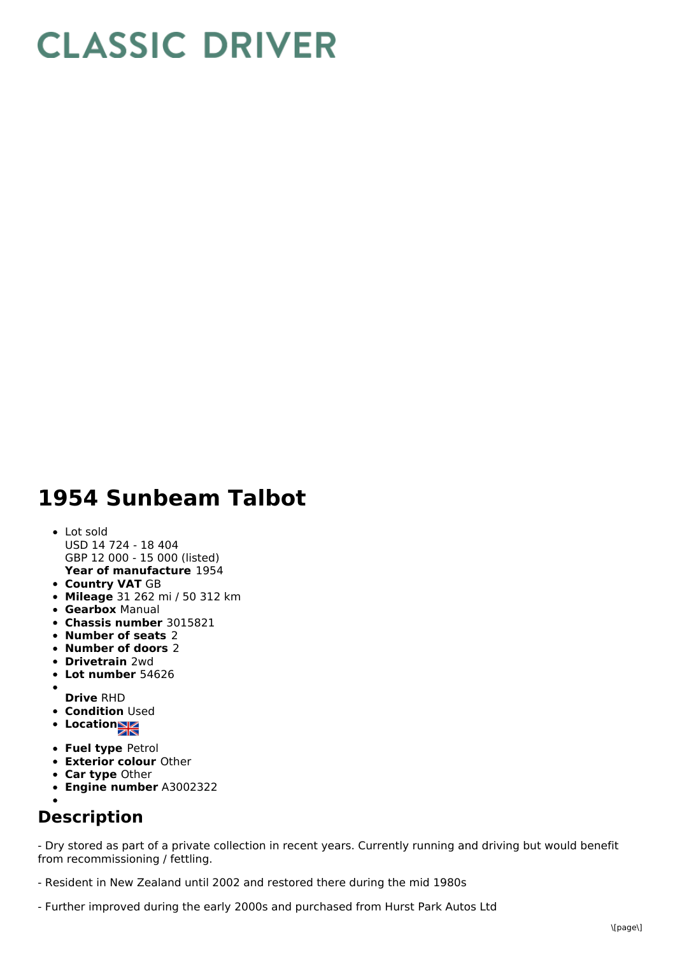## **CLASSIC DRIVER**

## **1954 Sunbeam Talbot**

## **Year of manufacture** 1954 Lot sold USD 14 724 - 18 404 GBP 12 000 - 15 000 (listed)

- **Country VAT** GB
- **Mileage** 31 262 mi / 50 312 km
- **Gearbox** Manual
- **Chassis number** 3015821
- **Number of seats** 2
- **Number of doors** 2
- **Drivetrain** 2wd
- **Lot number** 54626
- 
- **Drive** RHD
- **Condition Used**
- Location<sub>a</sub>
- **Fuel type** Petrol
- **Exterior colour** Other
- **Car type** Other
- **Engine number** A3002322

## **Description**

- Dry stored as part of a private collection in recent years. Currently running and driving but would benefit from recommissioning / fettling.

- Resident in New Zealand until 2002 and restored there during the mid 1980s
- Further improved during the early 2000s and purchased from Hurst Park Autos Ltd